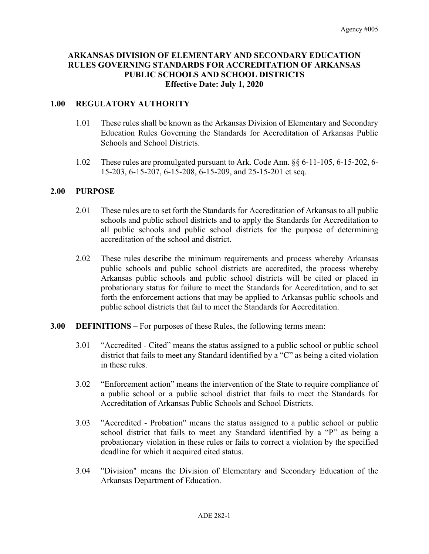# **ARKANSAS DIVISION OF ELEMENTARY AND SECONDARY EDUCATION RULES GOVERNING STANDARDS FOR ACCREDITATION OF ARKANSAS PUBLIC SCHOOLS AND SCHOOL DISTRICTS Effective Date: July 1, 2020**

## **1.00 REGULATORY AUTHORITY**

- 1.01 These rules shall be known as the Arkansas Division of Elementary and Secondary Education Rules Governing the Standards for Accreditation of Arkansas Public Schools and School Districts.
- 1.02 These rules are promulgated pursuant to Ark. Code Ann. §§ 6-11-105, 6-15-202, 6- 15-203, 6-15-207, 6-15-208, 6-15-209, and 25-15-201 et seq.

#### **2.00 PURPOSE**

- 2.01 These rules are to set forth the Standards for Accreditation of Arkansas to all public schools and public school districts and to apply the Standards for Accreditation to all public schools and public school districts for the purpose of determining accreditation of the school and district.
- 2.02 These rules describe the minimum requirements and process whereby Arkansas public schools and public school districts are accredited, the process whereby Arkansas public schools and public school districts will be cited or placed in probationary status for failure to meet the Standards for Accreditation, and to set forth the enforcement actions that may be applied to Arkansas public schools and public school districts that fail to meet the Standards for Accreditation.
- **3.00 DEFINITIONS –** For purposes of these Rules, the following terms mean:
	- 3.01 "Accredited Cited" means the status assigned to a public school or public school district that fails to meet any Standard identified by a "C" as being a cited violation in these rules.
	- 3.02 "Enforcement action" means the intervention of the State to require compliance of a public school or a public school district that fails to meet the Standards for Accreditation of Arkansas Public Schools and School Districts.
	- 3.03 "Accredited Probation" means the status assigned to a public school or public school district that fails to meet any Standard identified by a "P" as being a probationary violation in these rules or fails to correct a violation by the specified deadline for which it acquired cited status.
	- 3.04 "Division" means the Division of Elementary and Secondary Education of the Arkansas Department of Education.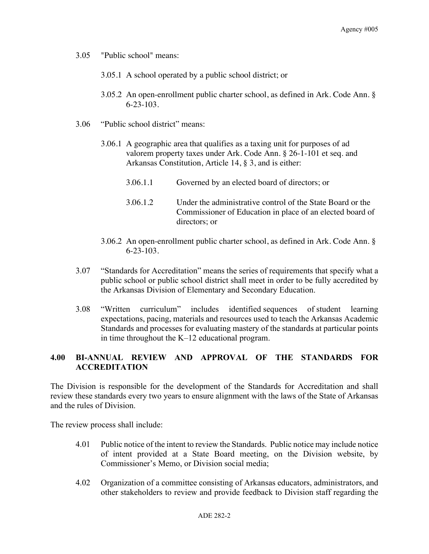- 3.05 "Public school" means:
	- 3.05.1 A school operated by a public school district; or
	- 3.05.2 An open-enrollment public charter school, as defined in Ark. Code Ann. § 6-23-103.
- 3.06 "Public school district" means:
	- 3.06.1 A geographic area that qualifies as a taxing unit for purposes of ad valorem property taxes under Ark. Code Ann. § 26-1-101 et seq. and Arkansas Constitution, Article 14, § 3, and is either:
		- 3.06.1.1 Governed by an elected board of directors; or
		- 3.06.1.2 Under the administrative control of the State Board or the Commissioner of Education in place of an elected board of directors; or
	- 3.06.2 An open-enrollment public charter school, as defined in Ark. Code Ann. § 6-23-103.
- 3.07 "Standards for Accreditation" means the series of requirements that specify what a public school or public school district shall meet in order to be fully accredited by the Arkansas Division of Elementary and Secondary Education.
- 3.08 "Written curriculum" includes identified sequences of student learning expectations, pacing, materials and resources used to teach the Arkansas Academic Standards and processes for evaluating mastery of the standards at particular points in time throughout the K–12 educational program.

## **4.00 BI-ANNUAL REVIEW AND APPROVAL OF THE STANDARDS FOR ACCREDITATION**

The Division is responsible for the development of the Standards for Accreditation and shall review these standards every two years to ensure alignment with the laws of the State of Arkansas and the rules of Division.

The review process shall include:

- 4.01 Public notice of the intent to review the Standards. Public notice may include notice of intent provided at a State Board meeting, on the Division website, by Commissioner's Memo, or Division social media;
- 4.02 Organization of a committee consisting of Arkansas educators, administrators, and other stakeholders to review and provide feedback to Division staff regarding the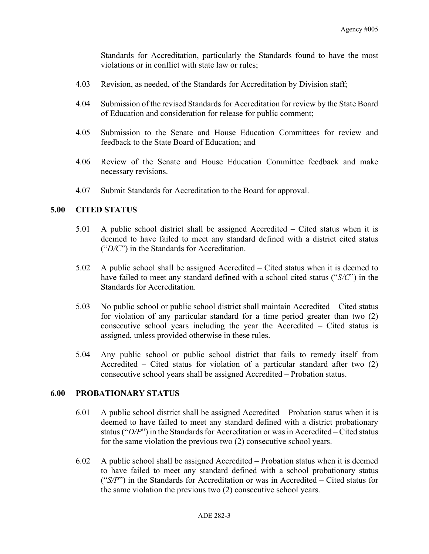Standards for Accreditation, particularly the Standards found to have the most violations or in conflict with state law or rules;

- 4.03 Revision, as needed, of the Standards for Accreditation by Division staff;
- 4.04 Submission of the revised Standards for Accreditation for review by the State Board of Education and consideration for release for public comment;
- 4.05 Submission to the Senate and House Education Committees for review and feedback to the State Board of Education; and
- 4.06 Review of the Senate and House Education Committee feedback and make necessary revisions.
- 4.07 Submit Standards for Accreditation to the Board for approval.

## **5.00 CITED STATUS**

- 5.01 A public school district shall be assigned Accredited Cited status when it is deemed to have failed to meet any standard defined with a district cited status ("*D/C*") in the Standards for Accreditation.
- 5.02 A public school shall be assigned Accredited Cited status when it is deemed to have failed to meet any standard defined with a school cited status ("*S/C*") in the Standards for Accreditation.
- 5.03 No public school or public school district shall maintain Accredited Cited status for violation of any particular standard for a time period greater than two (2) consecutive school years including the year the Accredited – Cited status is assigned, unless provided otherwise in these rules.
- 5.04 Any public school or public school district that fails to remedy itself from Accredited – Cited status for violation of a particular standard after two (2) consecutive school years shall be assigned Accredited – Probation status.

### **6.00 PROBATIONARY STATUS**

- 6.01 A public school district shall be assigned Accredited Probation status when it is deemed to have failed to meet any standard defined with a district probationary status ("*D/P*") in the Standards for Accreditation or was in Accredited – Cited status for the same violation the previous two (2) consecutive school years.
- 6.02 A public school shall be assigned Accredited Probation status when it is deemed to have failed to meet any standard defined with a school probationary status ("*S/P*") in the Standards for Accreditation or was in Accredited – Cited status for the same violation the previous two (2) consecutive school years.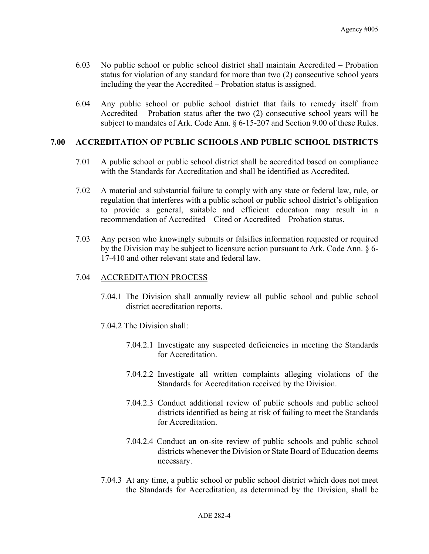- 6.03 No public school or public school district shall maintain Accredited Probation status for violation of any standard for more than two (2) consecutive school years including the year the Accredited – Probation status is assigned.
- 6.04 Any public school or public school district that fails to remedy itself from Accredited – Probation status after the two (2) consecutive school years will be subject to mandates of Ark. Code Ann. § 6-15-207 and Section 9.00 of these Rules.

### **7.00 ACCREDITATION OF PUBLIC SCHOOLS AND PUBLIC SCHOOL DISTRICTS**

- 7.01 A public school or public school district shall be accredited based on compliance with the Standards for Accreditation and shall be identified as Accredited.
- 7.02 A material and substantial failure to comply with any state or federal law, rule, or regulation that interferes with a public school or public school district's obligation to provide a general, suitable and efficient education may result in a recommendation of Accredited – Cited or Accredited – Probation status.
- 7.03 Any person who knowingly submits or falsifies information requested or required by the Division may be subject to licensure action pursuant to Ark. Code Ann. § 6- 17-410 and other relevant state and federal law.

## 7.04 ACCREDITATION PROCESS

- 7.04.1 The Division shall annually review all public school and public school district accreditation reports.
- 7.04.2 The Division shall:
	- 7.04.2.1 Investigate any suspected deficiencies in meeting the Standards for Accreditation.
	- 7.04.2.2 Investigate all written complaints alleging violations of the Standards for Accreditation received by the Division.
	- 7.04.2.3 Conduct additional review of public schools and public school districts identified as being at risk of failing to meet the Standards for Accreditation.
	- 7.04.2.4 Conduct an on-site review of public schools and public school districts whenever the Division or State Board of Education deems necessary.
- 7.04.3 At any time, a public school or public school district which does not meet the Standards for Accreditation, as determined by the Division, shall be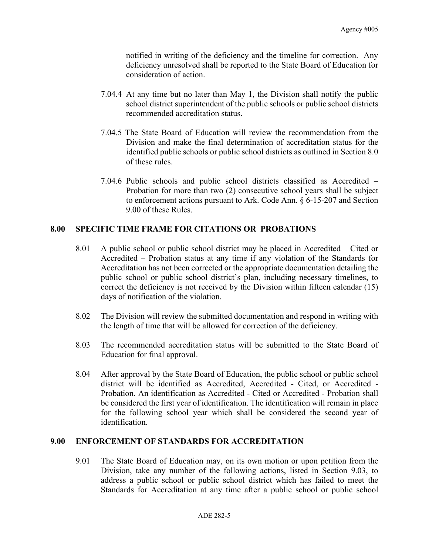notified in writing of the deficiency and the timeline for correction. Any deficiency unresolved shall be reported to the State Board of Education for consideration of action.

- 7.04.4 At any time but no later than May 1, the Division shall notify the public school district superintendent of the public schools or public school districts recommended accreditation status.
- 7.04.5 The State Board of Education will review the recommendation from the Division and make the final determination of accreditation status for the identified public schools or public school districts as outlined in Section 8.0 of these rules.
- 7.04.6 Public schools and public school districts classified as Accredited Probation for more than two (2) consecutive school years shall be subject to enforcement actions pursuant to Ark. Code Ann. § 6-15-207 and Section 9.00 of these Rules.

## **8.00 SPECIFIC TIME FRAME FOR CITATIONS OR PROBATIONS**

- 8.01 A public school or public school district may be placed in Accredited Cited or Accredited – Probation status at any time if any violation of the Standards for Accreditation has not been corrected or the appropriate documentation detailing the public school or public school district's plan, including necessary timelines, to correct the deficiency is not received by the Division within fifteen calendar (15) days of notification of the violation.
- 8.02 The Division will review the submitted documentation and respond in writing with the length of time that will be allowed for correction of the deficiency.
- 8.03 The recommended accreditation status will be submitted to the State Board of Education for final approval.
- 8.04 After approval by the State Board of Education, the public school or public school district will be identified as Accredited, Accredited - Cited, or Accredited - Probation. An identification as Accredited - Cited or Accredited - Probation shall be considered the first year of identification. The identification will remain in place for the following school year which shall be considered the second year of identification.

#### **9.00 ENFORCEMENT OF STANDARDS FOR ACCREDITATION**

9.01 The State Board of Education may, on its own motion or upon petition from the Division, take any number of the following actions, listed in Section 9.03, to address a public school or public school district which has failed to meet the Standards for Accreditation at any time after a public school or public school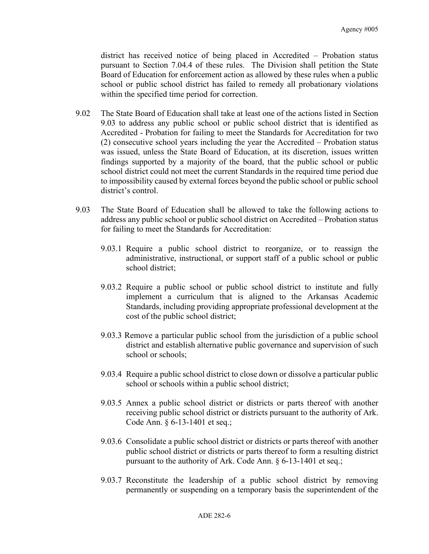district has received notice of being placed in Accredited – Probation status pursuant to Section 7.04.4 of these rules. The Division shall petition the State Board of Education for enforcement action as allowed by these rules when a public school or public school district has failed to remedy all probationary violations within the specified time period for correction.

- 9.02 The State Board of Education shall take at least one of the actions listed in Section 9.03 to address any public school or public school district that is identified as Accredited - Probation for failing to meet the Standards for Accreditation for two (2) consecutive school years including the year the Accredited – Probation status was issued, unless the State Board of Education, at its discretion, issues written findings supported by a majority of the board, that the public school or public school district could not meet the current Standards in the required time period due to impossibility caused by external forces beyond the public school or public school district's control.
- 9.03 The State Board of Education shall be allowed to take the following actions to address any public school or public school district on Accredited – Probation status for failing to meet the Standards for Accreditation:
	- 9.03.1 Require a public school district to reorganize, or to reassign the administrative, instructional, or support staff of a public school or public school district;
	- 9.03.2 Require a public school or public school district to institute and fully implement a curriculum that is aligned to the Arkansas Academic Standards, including providing appropriate professional development at the cost of the public school district;
	- 9.03.3 Remove a particular public school from the jurisdiction of a public school district and establish alternative public governance and supervision of such school or schools;
	- 9.03.4 Require a public school district to close down or dissolve a particular public school or schools within a public school district;
	- 9.03.5 Annex a public school district or districts or parts thereof with another receiving public school district or districts pursuant to the authority of Ark. Code Ann. § 6-13-1401 et seq.;
	- 9.03.6 Consolidate a public school district or districts or parts thereof with another public school district or districts or parts thereof to form a resulting district pursuant to the authority of Ark. Code Ann. § 6-13-1401 et seq.;
	- 9.03.7 Reconstitute the leadership of a public school district by removing permanently or suspending on a temporary basis the superintendent of the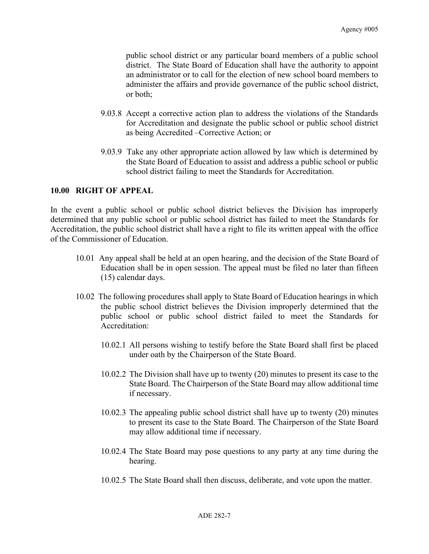public school district or any particular board members of a public school district. The State Board of Education shall have the authority to appoint an administrator or to call for the election of new school board members to administer the affairs and provide governance of the public school district, or both;

- 9.03.8 Accept a corrective action plan to address the violations of the Standards for Accreditation and designate the public school or public school district as being Accredited –Corrective Action; or
- 9.03.9 Take any other appropriate action allowed by law which is determined by the State Board of Education to assist and address a public school or public school district failing to meet the Standards for Accreditation.

# **10.00 RIGHT OF APPEAL**

In the event a public school or public school district believes the Division has improperly determined that any public school or public school district has failed to meet the Standards for Accreditation, the public school district shall have a right to file its written appeal with the office of the Commissioner of Education.

- 10.01 Any appeal shall be held at an open hearing, and the decision of the State Board of Education shall be in open session. The appeal must be filed no later than fifteen (15) calendar days.
- 10.02 The following procedures shall apply to State Board of Education hearings in which the public school district believes the Division improperly determined that the public school or public school district failed to meet the Standards for Accreditation:
	- 10.02.1 All persons wishing to testify before the State Board shall first be placed under oath by the Chairperson of the State Board.
	- 10.02.2 The Division shall have up to twenty (20) minutes to present its case to the State Board. The Chairperson of the State Board may allow additional time if necessary.
	- 10.02.3 The appealing public school district shall have up to twenty (20) minutes to present its case to the State Board. The Chairperson of the State Board may allow additional time if necessary.
	- 10.02.4 The State Board may pose questions to any party at any time during the hearing.
	- 10.02.5 The State Board shall then discuss, deliberate, and vote upon the matter.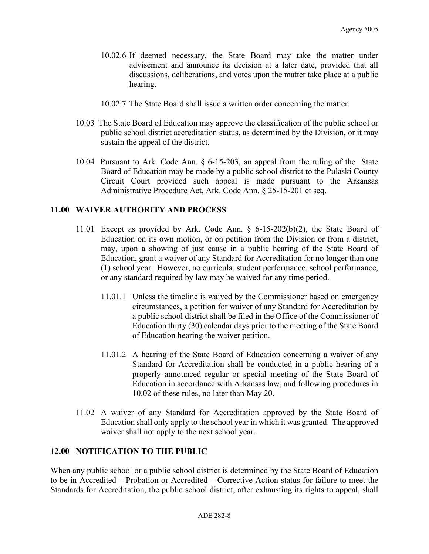- 10.02.6 If deemed necessary, the State Board may take the matter under advisement and announce its decision at a later date, provided that all discussions, deliberations, and votes upon the matter take place at a public hearing.
- 10.02.7 The State Board shall issue a written order concerning the matter.
- 10.03 The State Board of Education may approve the classification of the public school or public school district accreditation status, as determined by the Division, or it may sustain the appeal of the district.
- 10.04 Pursuant to Ark. Code Ann. § 6-15-203, an appeal from the ruling of the State Board of Education may be made by a public school district to the Pulaski County Circuit Court provided such appeal is made pursuant to the Arkansas Administrative Procedure Act, Ark. Code Ann. § 25-15-201 et seq.

## **11.00 WAIVER AUTHORITY AND PROCESS**

- 11.01 Except as provided by Ark. Code Ann. § 6-15-202(b)(2), the State Board of Education on its own motion, or on petition from the Division or from a district, may, upon a showing of just cause in a public hearing of the State Board of Education, grant a waiver of any Standard for Accreditation for no longer than one (1) school year. However, no curricula, student performance, school performance, or any standard required by law may be waived for any time period.
	- 11.01.1 Unless the timeline is waived by the Commissioner based on emergency circumstances, a petition for waiver of any Standard for Accreditation by a public school district shall be filed in the Office of the Commissioner of Education thirty (30) calendar days prior to the meeting of the State Board of Education hearing the waiver petition.
	- 11.01.2 A hearing of the State Board of Education concerning a waiver of any Standard for Accreditation shall be conducted in a public hearing of a properly announced regular or special meeting of the State Board of Education in accordance with Arkansas law, and following procedures in 10.02 of these rules, no later than May 20.
- 11.02 A waiver of any Standard for Accreditation approved by the State Board of Education shall only apply to the school year in which it was granted. The approved waiver shall not apply to the next school year.

## **12.00 NOTIFICATION TO THE PUBLIC**

When any public school or a public school district is determined by the State Board of Education to be in Accredited – Probation or Accredited – Corrective Action status for failure to meet the Standards for Accreditation, the public school district, after exhausting its rights to appeal, shall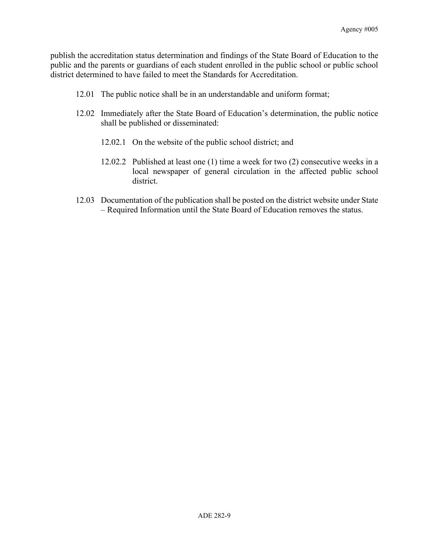publish the accreditation status determination and findings of the State Board of Education to the public and the parents or guardians of each student enrolled in the public school or public school district determined to have failed to meet the Standards for Accreditation.

- 12.01 The public notice shall be in an understandable and uniform format;
- 12.02 Immediately after the State Board of Education's determination, the public notice shall be published or disseminated:
	- 12.02.1 On the website of the public school district; and
	- 12.02.2 Published at least one (1) time a week for two (2) consecutive weeks in a local newspaper of general circulation in the affected public school district.
- 12.03 Documentation of the publication shall be posted on the district website under State – Required Information until the State Board of Education removes the status.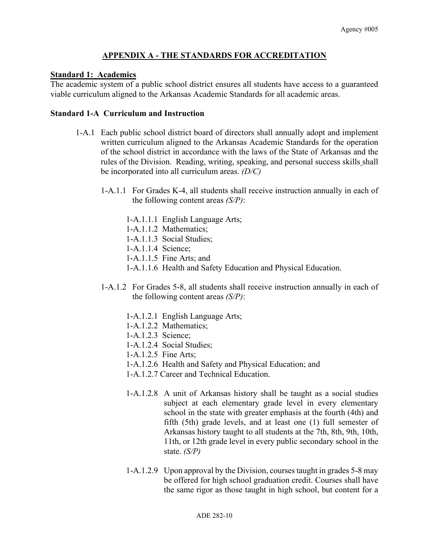# **APPENDIX A - THE STANDARDS FOR ACCREDITATION**

## **Standard 1: Academics**

The academic system of a public school district ensures all students have access to a guaranteed viable curriculum aligned to the Arkansas Academic Standards for all academic areas.

## **Standard 1-A Curriculum and Instruction**

- 1-A.1 Each public school district board of directors shall annually adopt and implement written curriculum aligned to the Arkansas Academic Standards for the operation of the school district in accordance with the laws of the State of Arkansas and the rules of the Division. Reading, writing, speaking, and personal success skills shall be incorporated into all curriculum areas. *(D/C)*
	- 1-A.1.1 For Grades K-4, all students shall receive instruction annually in each of the following content areas *(S/P)*:
		- 1-A.1.1.1 English Language Arts;
		- 1-A.1.1.2 Mathematics;
		- 1-A.1.1.3 Social Studies;
		- 1-A.1.1.4 Science;
		- 1-A.1.1.5 Fine Arts; and
		- 1-A.1.1.6 Health and Safety Education and Physical Education.
	- 1-A.1.2 For Grades 5-8, all students shall receive instruction annually in each of the following content areas *(S/P)*:
		- 1-A.1.2.1 English Language Arts;
		- 1-A.1.2.2 Mathematics;
		- 1-A.1.2.3 Science;
		- 1-A.1.2.4 Social Studies;
		- 1-A.1.2.5 Fine Arts;
		- 1-A.1.2.6 Health and Safety and Physical Education; and
		- 1-A.1.2.7 Career and Technical Education.
		- 1-A.1.2.8 A unit of Arkansas history shall be taught as a social studies subject at each elementary grade level in every elementary school in the state with greater emphasis at the fourth (4th) and fifth (5th) grade levels, and at least one (1) full semester of Arkansas history taught to all students at the 7th, 8th, 9th, 10th, 11th, or 12th grade level in every public secondary school in the state. *(S/P)*
		- 1-A.1.2.9 Upon approval by the Division, courses taught in grades 5-8 may be offered for high school graduation credit. Courses shall have the same rigor as those taught in high school, but content for a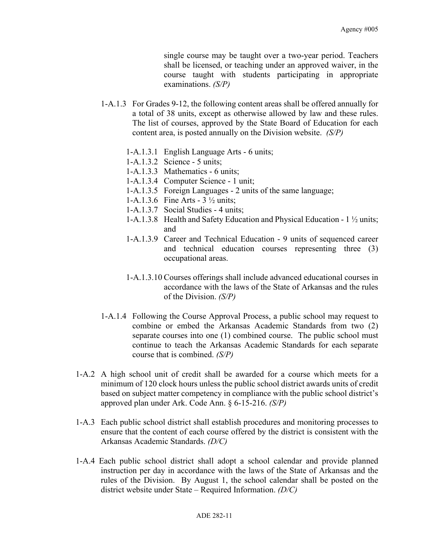single course may be taught over a two-year period. Teachers shall be licensed, or teaching under an approved waiver, in the course taught with students participating in appropriate examinations. *(S/P)*

- 1-A.1.3 For Grades 9-12, the following content areas shall be offered annually for a total of 38 units, except as otherwise allowed by law and these rules. The list of courses, approved by the State Board of Education for each content area, is posted annually on the Division website. *(S/P)*
	- 1-A.1.3.1 English Language Arts 6 units;
	- 1-A.1.3.2 Science 5 units;
	- 1-A.1.3.3 Mathematics 6 units;
	- 1-A.1.3.4 Computer Science 1 unit;
	- 1-A.1.3.5 Foreign Languages 2 units of the same language;
	- 1-A.1.3.6 Fine Arts 3 ½ units;
	- 1-A.1.3.7 Social Studies 4 units;
	- 1-A.1.3.8 Health and Safety Education and Physical Education 1 ½ units; and
	- 1-A.1.3.9 Career and Technical Education 9 units of sequenced career and technical education courses representing three (3) occupational areas.
	- 1-A.1.3.10 Courses offerings shall include advanced educational courses in accordance with the laws of the State of Arkansas and the rules of the Division. *(S/P)*
- 1-A.1.4 Following the Course Approval Process, a public school may request to combine or embed the Arkansas Academic Standards from two (2) separate courses into one (1) combined course. The public school must continue to teach the Arkansas Academic Standards for each separate course that is combined. *(S/P)*
- 1-A.2 A high school unit of credit shall be awarded for a course which meets for a minimum of 120 clock hours unless the public school district awards units of credit based on subject matter competency in compliance with the public school district's approved plan under Ark. Code Ann. § 6-15-216. *(S/P)*
- 1-A.3 Each public school district shall establish procedures and monitoring processes to ensure that the content of each course offered by the district is consistent with the Arkansas Academic Standards. *(D/C)*
- 1-A.4 Each public school district shall adopt a school calendar and provide planned instruction per day in accordance with the laws of the State of Arkansas and the rules of the Division. By August 1, the school calendar shall be posted on the district website under State – Required Information. *(D/C)*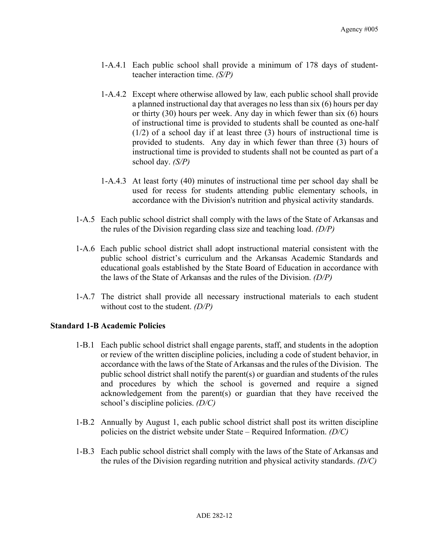- 1-A.4.1 Each public school shall provide a minimum of 178 days of studentteacher interaction time. *(S/P)*
- 1-A.4.2 Except where otherwise allowed by law*,* each public school shall provide a planned instructional day that averages no less than six (6) hours per day or thirty (30) hours per week. Any day in which fewer than six (6) hours of instructional time is provided to students shall be counted as one-half (1/2) of a school day if at least three (3) hours of instructional time is provided to students. Any day in which fewer than three (3) hours of instructional time is provided to students shall not be counted as part of a school day. *(S/P)*
- 1-A.4.3 At least forty (40) minutes of instructional time per school day shall be used for recess for students attending public elementary schools, in accordance with the Division's nutrition and physical activity standards.
- 1-A.5 Each public school district shall comply with the laws of the State of Arkansas and the rules of the Division regarding class size and teaching load. *(D/P)*
- 1-A.6 Each public school district shall adopt instructional material consistent with the public school district's curriculum and the Arkansas Academic Standards and educational goals established by the State Board of Education in accordance with the laws of the State of Arkansas and the rules of the Division. *(D/P)*
- 1-A.7 The district shall provide all necessary instructional materials to each student without cost to the student. *(D/P)*

## **Standard 1-B Academic Policies**

- 1-B.1 Each public school district shall engage parents, staff, and students in the adoption or review of the written discipline policies, including a code of student behavior, in accordance with the laws of the State of Arkansas and the rules of the Division. The public school district shall notify the parent(s) or guardian and students of the rules and procedures by which the school is governed and require a signed acknowledgement from the parent(s) or guardian that they have received the school's discipline policies. *(D/C)*
- 1-B.2 Annually by August 1, each public school district shall post its written discipline policies on the district website under State – Required Information. *(D/C)*
- 1-B.3 Each public school district shall comply with the laws of the State of Arkansas and the rules of the Division regarding nutrition and physical activity standards. *(D/C)*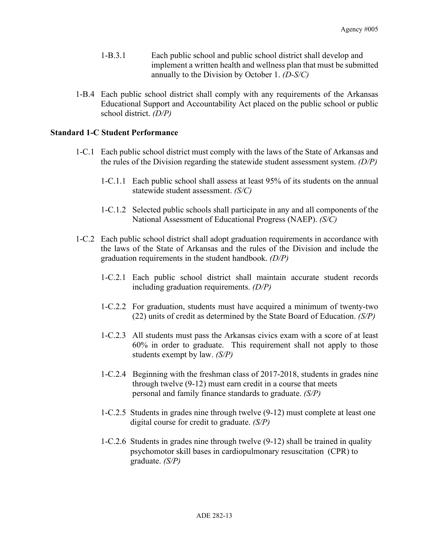- 1-B.3.1 Each public school and public school district shall develop and implement a written health and wellness plan that must be submitted annually to the Division by October 1. *(D-S/C)*
- 1-B.4 Each public school district shall comply with any requirements of the Arkansas Educational Support and Accountability Act placed on the public school or public school district. *(D/P)*

# **Standard 1-C Student Performance**

- 1-C.1 Each public school district must comply with the laws of the State of Arkansas and the rules of the Division regarding the statewide student assessment system. *(D/P)*
	- 1-C.1.1 Each public school shall assess at least 95% of its students on the annual statewide student assessment. *(S/C)*
	- 1-C.1.2 Selected public schools shall participate in any and all components of the National Assessment of Educational Progress (NAEP). *(S/C)*
- 1-C.2 Each public school district shall adopt graduation requirements in accordance with the laws of the State of Arkansas and the rules of the Division and include the graduation requirements in the student handbook. *(D/P)*
	- 1-C.2.1 Each public school district shall maintain accurate student records including graduation requirements. *(D/P)*
	- 1-C.2.2 For graduation, students must have acquired a minimum of twenty-two (22) units of credit as determined by the State Board of Education. *(S/P)*
	- 1-C.2.3 All students must pass the Arkansas civics exam with a score of at least 60% in order to graduate. This requirement shall not apply to those students exempt by law. *(S/P)*
	- 1-C.2.4 Beginning with the freshman class of 2017-2018, students in grades nine through twelve (9-12) must earn credit in a course that meets personal and family finance standards to graduate. *(S/P)*
	- 1-C.2.5 Students in grades nine through twelve (9-12) must complete at least one digital course for credit to graduate. *(S/P)*
	- 1-C.2.6 Students in grades nine through twelve (9-12) shall be trained in quality psychomotor skill bases in cardiopulmonary resuscitation (CPR) to graduate. *(S/P)*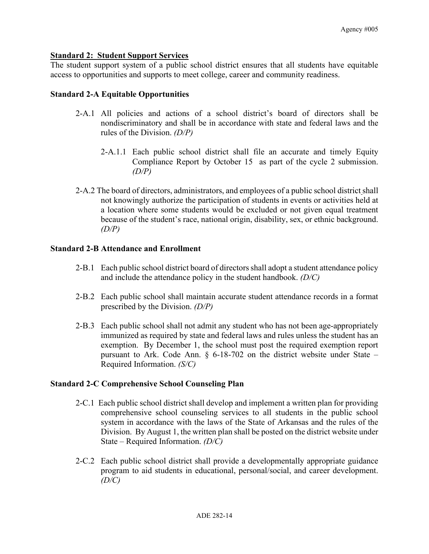## **Standard 2: Student Support Services**

The student support system of a public school district ensures that all students have equitable access to opportunities and supports to meet college, career and community readiness.

#### **Standard 2-A Equitable Opportunities**

- 2-A.1 All policies and actions of a school district's board of directors shall be nondiscriminatory and shall be in accordance with state and federal laws and the rules of the Division. *(D/P)*
	- 2-A.1.1 Each public school district shall file an accurate and timely Equity Compliance Report by October 15 as part of the cycle 2 submission. *(D/P)*
- 2-A.2 The board of directors, administrators, and employees of a public school district shall not knowingly authorize the participation of students in events or activities held at a location where some students would be excluded or not given equal treatment because of the student's race, national origin, disability, sex, or ethnic background. *(D/P)*

### **Standard 2-B Attendance and Enrollment**

- 2-B.1 Each public school district board of directors shall adopt a student attendance policy and include the attendance policy in the student handbook. *(D/C)*
- 2-B.2 Each public school shall maintain accurate student attendance records in a format prescribed by the Division. *(D/P)*
- 2-B.3 Each public school shall not admit any student who has not been age-appropriately immunized as required by state and federal laws and rules unless the student has an exemption. By December 1, the school must post the required exemption report pursuant to Ark. Code Ann. § 6-18-702 on the district website under State – Required Information. *(S/C)*

#### **Standard 2-C Comprehensive School Counseling Plan**

- 2-C.1 Each public school district shall develop and implement a written plan for providing comprehensive school counseling services to all students in the public school system in accordance with the laws of the State of Arkansas and the rules of the Division. By August 1, the written plan shall be posted on the district website under State – Required Information. *(D/C)*
- 2-C.2 Each public school district shall provide a developmentally appropriate guidance program to aid students in educational, personal/social, and career development. *(D/C)*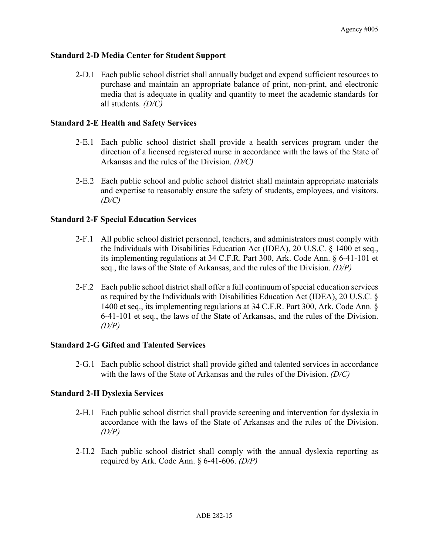# **Standard 2-D Media Center for Student Support**

2-D.1 Each public school district shall annually budget and expend sufficient resources to purchase and maintain an appropriate balance of print, non-print, and electronic media that is adequate in quality and quantity to meet the academic standards for all students. *(D/C)*

# **Standard 2-E Health and Safety Services**

- 2-E.1 Each public school district shall provide a health services program under the direction of a licensed registered nurse in accordance with the laws of the State of Arkansas and the rules of the Division. *(D/C)*
- 2-E.2 Each public school and public school district shall maintain appropriate materials and expertise to reasonably ensure the safety of students, employees, and visitors. *(D/C)*

# **Standard 2-F Special Education Services**

- 2-F.1 All public school district personnel, teachers, and administrators must comply with the Individuals with Disabilities Education Act (IDEA), 20 U.S.C. § 1400 et seq., its implementing regulations at 34 C.F.R. Part 300, Ark. Code Ann. § 6-41-101 et seq., the laws of the State of Arkansas, and the rules of the Division. *(D/P)*
- 2-F.2 Each public school district shall offer a full continuum of special education services as required by the Individuals with Disabilities Education Act (IDEA), 20 U.S.C. § 1400 et seq., its implementing regulations at 34 C.F.R. Part 300, Ark. Code Ann. § 6-41-101 et seq., the laws of the State of Arkansas, and the rules of the Division. *(D/P)*

## **Standard 2-G Gifted and Talented Services**

2-G.1 Each public school district shall provide gifted and talented services in accordance with the laws of the State of Arkansas and the rules of the Division. *(D/C)*

## **Standard 2-H Dyslexia Services**

- 2-H.1 Each public school district shall provide screening and intervention for dyslexia in accordance with the laws of the State of Arkansas and the rules of the Division. *(D/P)*
- 2-H.2 Each public school district shall comply with the annual dyslexia reporting as required by Ark. Code Ann. § 6-41-606. *(D/P)*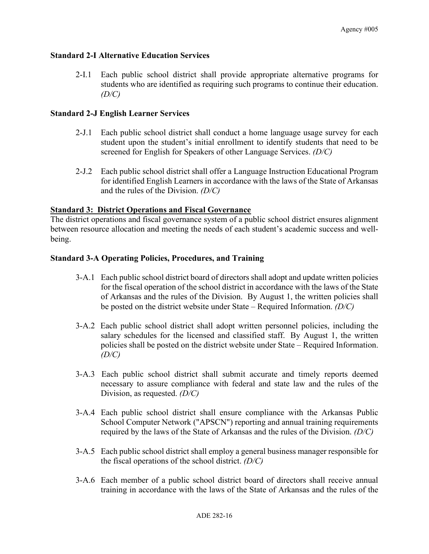### **Standard 2-I Alternative Education Services**

2-I.1 Each public school district shall provide appropriate alternative programs for students who are identified as requiring such programs to continue their education. *(D/C)*

### **Standard 2-J English Learner Services**

- 2-J.1 Each public school district shall conduct a home language usage survey for each student upon the student's initial enrollment to identify students that need to be screened for English for Speakers of other Language Services. *(D/C)*
- 2-J.2 Each public school district shall offer a Language Instruction Educational Program for identified English Learners in accordance with the laws of the State of Arkansas and the rules of the Division. *(D/C)*

### **Standard 3: District Operations and Fiscal Governance**

The district operations and fiscal governance system of a public school district ensures alignment between resource allocation and meeting the needs of each student's academic success and wellbeing.

#### **Standard 3-A Operating Policies, Procedures, and Training**

- 3-A.1 Each public school district board of directors shall adopt and update written policies for the fiscal operation of the school district in accordance with the laws of the State of Arkansas and the rules of the Division. By August 1, the written policies shall be posted on the district website under State – Required Information. *(D/C)*
- 3-A.2 Each public school district shall adopt written personnel policies, including the salary schedules for the licensed and classified staff. By August 1, the written policies shall be posted on the district website under State – Required Information. *(D/C)*
- 3-A.3 Each public school district shall submit accurate and timely reports deemed necessary to assure compliance with federal and state law and the rules of the Division, as requested. *(D/C)*
- 3-A.4 Each public school district shall ensure compliance with the Arkansas Public School Computer Network ("APSCN") reporting and annual training requirements required by the laws of the State of Arkansas and the rules of the Division. *(D/C)*
- 3-A.5 Each public school district shall employ a general business manager responsible for the fiscal operations of the school district. *(D/C)*
- 3-A.6 Each member of a public school district board of directors shall receive annual training in accordance with the laws of the State of Arkansas and the rules of the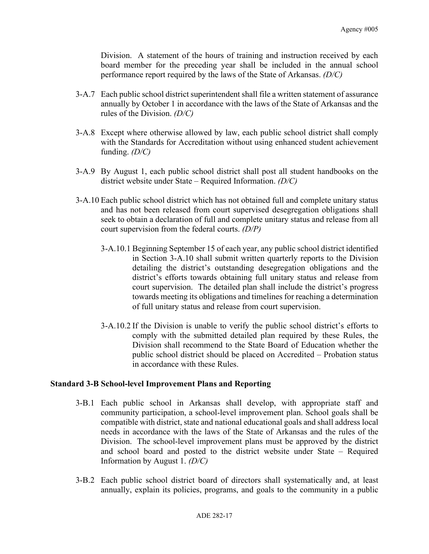Division. A statement of the hours of training and instruction received by each board member for the preceding year shall be included in the annual school performance report required by the laws of the State of Arkansas. *(D/C)*

- 3-A.7 Each public school district superintendent shall file a written statement of assurance annually by October 1 in accordance with the laws of the State of Arkansas and the rules of the Division. *(D/C)*
- 3-A.8 Except where otherwise allowed by law, each public school district shall comply with the Standards for Accreditation without using enhanced student achievement funding. *(D/C)*
- 3-A.9 By August 1, each public school district shall post all student handbooks on the district website under State – Required Information. *(D/C)*
- 3-A.10 Each public school district which has not obtained full and complete unitary status and has not been released from court supervised desegregation obligations shall seek to obtain a declaration of full and complete unitary status and release from all court supervision from the federal courts. *(D/P)*
	- 3-A.10.1 Beginning September 15 of each year, any public school district identified in Section 3-A.10 shall submit written quarterly reports to the Division detailing the district's outstanding desegregation obligations and the district's efforts towards obtaining full unitary status and release from court supervision. The detailed plan shall include the district's progress towards meeting its obligations and timelines for reaching a determination of full unitary status and release from court supervision.
	- 3-A.10.2 If the Division is unable to verify the public school district's efforts to comply with the submitted detailed plan required by these Rules, the Division shall recommend to the State Board of Education whether the public school district should be placed on Accredited – Probation status in accordance with these Rules.

## **Standard 3-B School-level Improvement Plans and Reporting**

- 3-B.1 Each public school in Arkansas shall develop, with appropriate staff and community participation, a school-level improvement plan. School goals shall be compatible with district, state and national educational goals and shall address local needs in accordance with the laws of the State of Arkansas and the rules of the Division. The school-level improvement plans must be approved by the district and school board and posted to the district website under State – Required Information by August 1. *(D/C)*
- 3-B.2 Each public school district board of directors shall systematically and, at least annually, explain its policies, programs, and goals to the community in a public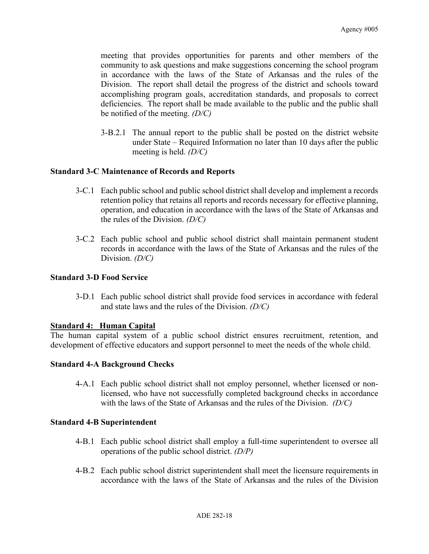meeting that provides opportunities for parents and other members of the community to ask questions and make suggestions concerning the school program in accordance with the laws of the State of Arkansas and the rules of the Division. The report shall detail the progress of the district and schools toward accomplishing program goals, accreditation standards, and proposals to correct deficiencies. The report shall be made available to the public and the public shall be notified of the meeting. *(D/C)*

3-B.2.1 The annual report to the public shall be posted on the district website under State – Required Information no later than 10 days after the public meeting is held. *(D/C)*

### **Standard 3-C Maintenance of Records and Reports**

- 3-C.1 Each public school and public school district shall develop and implement a records retention policy that retains all reports and records necessary for effective planning, operation, and education in accordance with the laws of the State of Arkansas and the rules of the Division. *(D/C)*
- 3-C.2 Each public school and public school district shall maintain permanent student records in accordance with the laws of the State of Arkansas and the rules of the Division. *(D/C)*

#### **Standard 3-D Food Service**

3-D.1 Each public school district shall provide food services in accordance with federal and state laws and the rules of the Division. *(D/C)*

#### **Standard 4: Human Capital**

The human capital system of a public school district ensures recruitment, retention, and development of effective educators and support personnel to meet the needs of the whole child.

#### **Standard 4-A Background Checks**

4-A.1 Each public school district shall not employ personnel, whether licensed or nonlicensed, who have not successfully completed background checks in accordance with the laws of the State of Arkansas and the rules of the Division. *(D/C)*

#### **Standard 4-B Superintendent**

- 4-B.1 Each public school district shall employ a full-time superintendent to oversee all operations of the public school district. *(D/P)*
- 4-B.2 Each public school district superintendent shall meet the licensure requirements in accordance with the laws of the State of Arkansas and the rules of the Division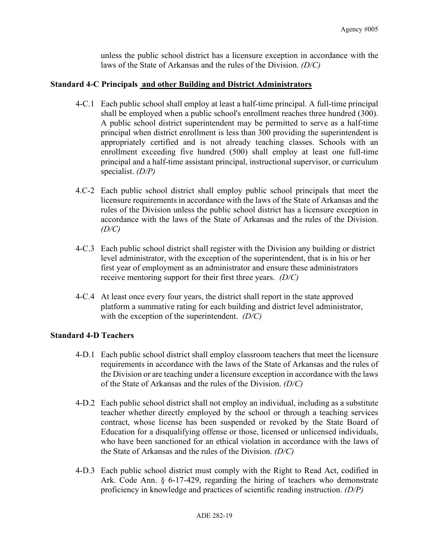unless the public school district has a licensure exception in accordance with the laws of the State of Arkansas and the rules of the Division. *(D/C)*

### **Standard 4-C Principals and other Building and District Administrators**

- 4-C.1 Each public school shall employ at least a half-time principal. A full-time principal shall be employed when a public school's enrollment reaches three hundred (300). A public school district superintendent may be permitted to serve as a half-time principal when district enrollment is less than 300 providing the superintendent is appropriately certified and is not already teaching classes. Schools with an enrollment exceeding five hundred (500) shall employ at least one full-time principal and a half-time assistant principal, instructional supervisor, or curriculum specialist. *(D/P)*
- 4.C-2 Each public school district shall employ public school principals that meet the licensure requirements in accordance with the laws of the State of Arkansas and the rules of the Division unless the public school district has a licensure exception in accordance with the laws of the State of Arkansas and the rules of the Division. *(D/C)*
- 4-C.3 Each public school district shall register with the Division any building or district level administrator, with the exception of the superintendent, that is in his or her first year of employment as an administrator and ensure these administrators receive mentoring support for their first three years. *(D/C)*
- 4-C.4 At least once every four years, the district shall report in the state approved platform a summative rating for each building and district level administrator, with the exception of the superintendent. *(D/C)*

## **Standard 4-D Teachers**

- 4-D.1 Each public school district shall employ classroom teachers that meet the licensure requirements in accordance with the laws of the State of Arkansas and the rules of the Division or are teaching under a licensure exception in accordance with the laws of the State of Arkansas and the rules of the Division. *(D/C)*
- 4-D.2 Each public school district shall not employ an individual, including as a substitute teacher whether directly employed by the school or through a teaching services contract, whose license has been suspended or revoked by the State Board of Education for a disqualifying offense or those, licensed or unlicensed individuals, who have been sanctioned for an ethical violation in accordance with the laws of the State of Arkansas and the rules of the Division. *(D/C)*
- 4-D.3 Each public school district must comply with the Right to Read Act, codified in Ark. Code Ann. § 6-17-429, regarding the hiring of teachers who demonstrate proficiency in knowledge and practices of scientific reading instruction. *(D/P)*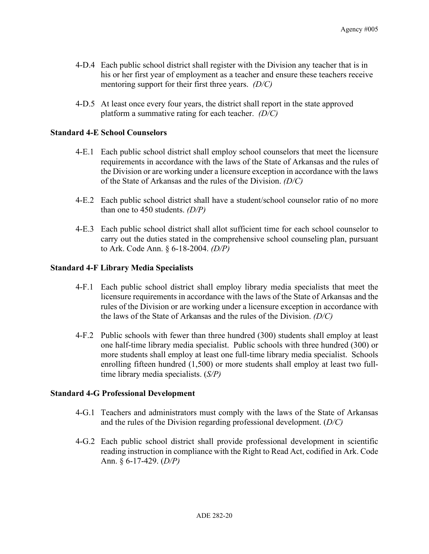- 4-D.4 Each public school district shall register with the Division any teacher that is in his or her first year of employment as a teacher and ensure these teachers receive mentoring support for their first three years. *(D/C)*
- 4-D.5 At least once every four years, the district shall report in the state approved platform a summative rating for each teacher. *(D/C)*

#### **Standard 4-E School Counselors**

- 4-E.1 Each public school district shall employ school counselors that meet the licensure requirements in accordance with the laws of the State of Arkansas and the rules of the Division or are working under a licensure exception in accordance with the laws of the State of Arkansas and the rules of the Division. *(D/C)*
- 4-E.2 Each public school district shall have a student/school counselor ratio of no more than one to 450 students. *(D/P)*
- 4-E.3 Each public school district shall allot sufficient time for each school counselor to carry out the duties stated in the comprehensive school counseling plan, pursuant to Ark. Code Ann. § 6-18-2004. *(D/P)*

### **Standard 4-F Library Media Specialists**

- 4-F.1 Each public school district shall employ library media specialists that meet the licensure requirements in accordance with the laws of the State of Arkansas and the rules of the Division or are working under a licensure exception in accordance with the laws of the State of Arkansas and the rules of the Division. *(D/C)*
- 4-F.2 Public schools with fewer than three hundred (300) students shall employ at least one half-time library media specialist. Public schools with three hundred (300) or more students shall employ at least one full-time library media specialist. Schools enrolling fifteen hundred (1,500) or more students shall employ at least two fulltime library media specialists. (*S/P)*

#### **Standard 4-G Professional Development**

- 4-G.1 Teachers and administrators must comply with the laws of the State of Arkansas and the rules of the Division regarding professional development. (*D/C)*
- 4-G.2 Each public school district shall provide professional development in scientific reading instruction in compliance with the Right to Read Act, codified in Ark. Code Ann. § 6-17-429. (*D/P)*